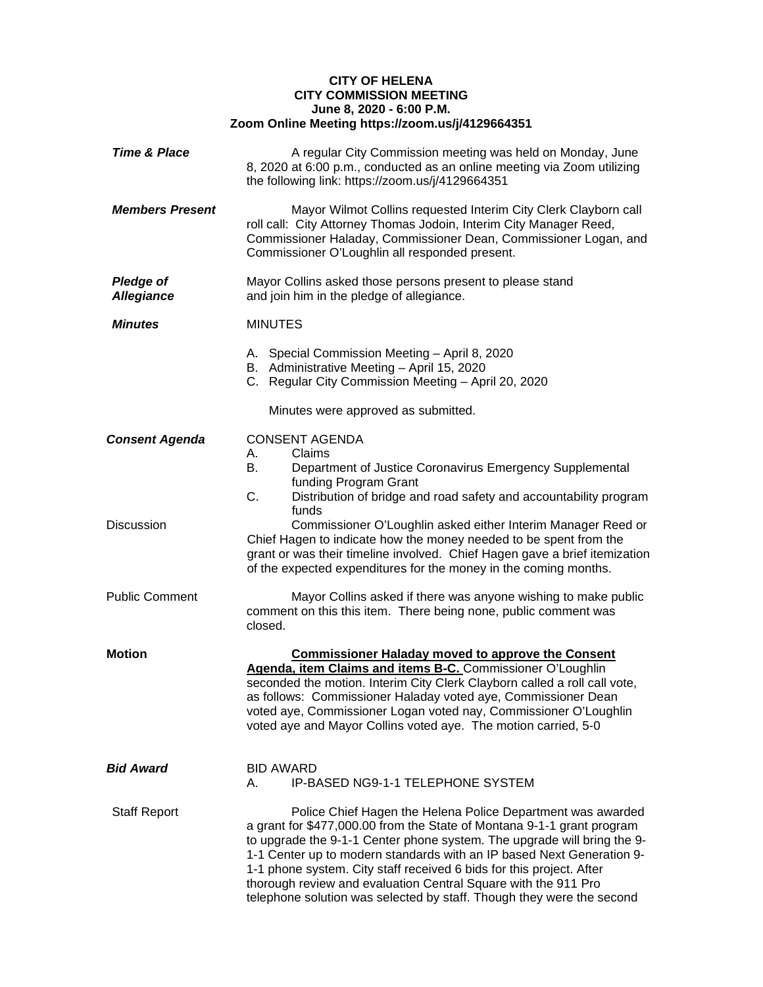## **CITY OF HELENA CITY COMMISSION MEETING June 8, 2020 - 6:00 P.M. Zoom Online Meeting https://zoom.us/j/4129664351**

| <b>Time &amp; Place</b>               | A regular City Commission meeting was held on Monday, June<br>8, 2020 at 6:00 p.m., conducted as an online meeting via Zoom utilizing<br>the following link: https://zoom.us/j/4129664351                                                                                                                                                                                                                                                                                                                    |  |
|---------------------------------------|--------------------------------------------------------------------------------------------------------------------------------------------------------------------------------------------------------------------------------------------------------------------------------------------------------------------------------------------------------------------------------------------------------------------------------------------------------------------------------------------------------------|--|
| <b>Members Present</b>                | Mayor Wilmot Collins requested Interim City Clerk Clayborn call<br>roll call: City Attorney Thomas Jodoin, Interim City Manager Reed,<br>Commissioner Haladay, Commissioner Dean, Commissioner Logan, and<br>Commissioner O'Loughlin all responded present.                                                                                                                                                                                                                                                  |  |
| <b>Pledge of</b><br><b>Allegiance</b> | Mayor Collins asked those persons present to please stand<br>and join him in the pledge of allegiance.                                                                                                                                                                                                                                                                                                                                                                                                       |  |
| <b>Minutes</b>                        | <b>MINUTES</b>                                                                                                                                                                                                                                                                                                                                                                                                                                                                                               |  |
|                                       | A. Special Commission Meeting - April 8, 2020<br>B. Administrative Meeting - April 15, 2020<br>C. Regular City Commission Meeting - April 20, 2020                                                                                                                                                                                                                                                                                                                                                           |  |
|                                       | Minutes were approved as submitted.                                                                                                                                                                                                                                                                                                                                                                                                                                                                          |  |
| <b>Consent Agenda</b>                 | <b>CONSENT AGENDA</b><br>Claims<br>А.<br>В.<br>Department of Justice Coronavirus Emergency Supplemental<br>funding Program Grant<br>C.<br>Distribution of bridge and road safety and accountability program                                                                                                                                                                                                                                                                                                  |  |
| Discussion                            | funds<br>Commissioner O'Loughlin asked either Interim Manager Reed or<br>Chief Hagen to indicate how the money needed to be spent from the<br>grant or was their timeline involved. Chief Hagen gave a brief itemization<br>of the expected expenditures for the money in the coming months.                                                                                                                                                                                                                 |  |
| <b>Public Comment</b>                 | Mayor Collins asked if there was anyone wishing to make public<br>comment on this this item. There being none, public comment was<br>closed.                                                                                                                                                                                                                                                                                                                                                                 |  |
| Motion                                | <b>Commissioner Haladay moved to approve the Consent</b><br>Agenda, item Claims and items B-C. Commissioner O'Loughlin<br>seconded the motion. Interim City Clerk Clayborn called a roll call vote,<br>as follows: Commissioner Haladay voted aye, Commissioner Dean<br>voted aye, Commissioner Logan voted nay, Commissioner O'Loughlin<br>voted aye and Mayor Collins voted aye. The motion carried, 5-0                                                                                                   |  |
| Bid Award                             | <b>BID AWARD</b><br>IP-BASED NG9-1-1 TELEPHONE SYSTEM<br>А.                                                                                                                                                                                                                                                                                                                                                                                                                                                  |  |
| <b>Staff Report</b>                   | Police Chief Hagen the Helena Police Department was awarded<br>a grant for \$477,000.00 from the State of Montana 9-1-1 grant program<br>to upgrade the 9-1-1 Center phone system. The upgrade will bring the 9-<br>1-1 Center up to modern standards with an IP based Next Generation 9-<br>1-1 phone system. City staff received 6 bids for this project. After<br>thorough review and evaluation Central Square with the 911 Pro<br>telephone solution was selected by staff. Though they were the second |  |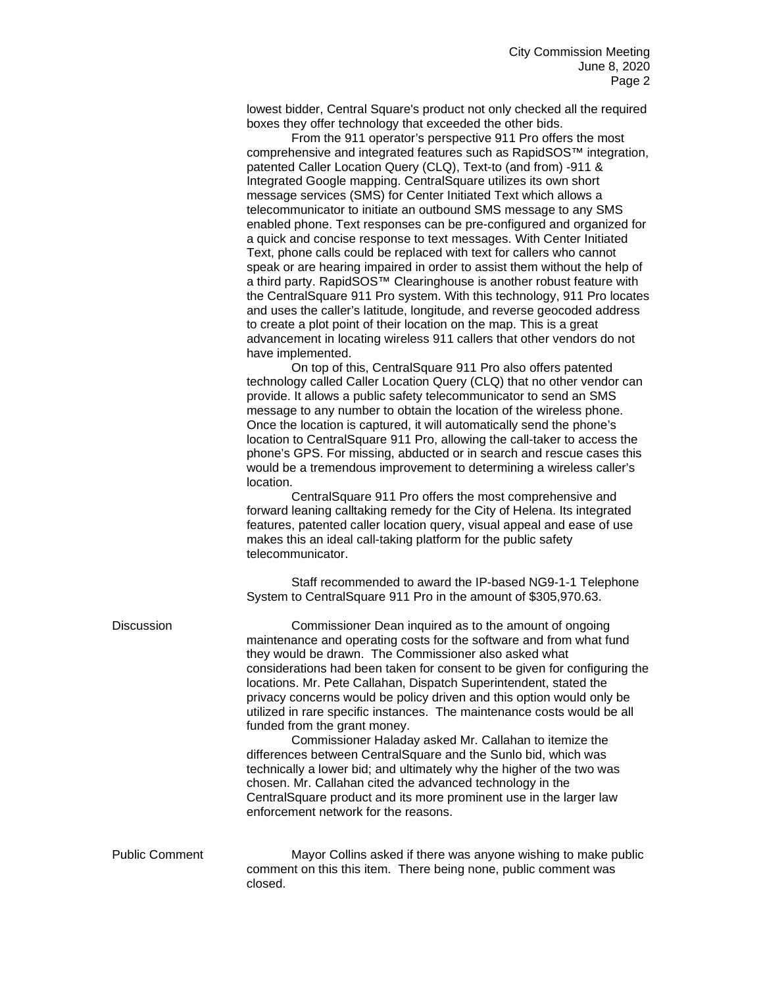lowest bidder, Central Square's product not only checked all the required boxes they offer technology that exceeded the other bids.

From the 911 operator's perspective 911 Pro offers the most comprehensive and integrated features such as RapidSOS™ integration, patented Caller Location Query (CLQ), Text-to (and from) -911 & Integrated Google mapping. CentralSquare utilizes its own short message services (SMS) for Center Initiated Text which allows a telecommunicator to initiate an outbound SMS message to any SMS enabled phone. Text responses can be pre-configured and organized for a quick and concise response to text messages. With Center Initiated Text, phone calls could be replaced with text for callers who cannot speak or are hearing impaired in order to assist them without the help of a third party. RapidSOS™ Clearinghouse is another robust feature with the CentralSquare 911 Pro system. With this technology, 911 Pro locates and uses the caller's latitude, longitude, and reverse geocoded address to create a plot point of their location on the map. This is a great advancement in locating wireless 911 callers that other vendors do not have implemented.

On top of this, CentralSquare 911 Pro also offers patented technology called Caller Location Query (CLQ) that no other vendor can provide. It allows a public safety telecommunicator to send an SMS message to any number to obtain the location of the wireless phone. Once the location is captured, it will automatically send the phone's location to CentralSquare 911 Pro, allowing the call-taker to access the phone's GPS. For missing, abducted or in search and rescue cases this would be a tremendous improvement to determining a wireless caller's location.

CentralSquare 911 Pro offers the most comprehensive and forward leaning calltaking remedy for the City of Helena. Its integrated features, patented caller location query, visual appeal and ease of use makes this an ideal call-taking platform for the public safety telecommunicator.

Staff recommended to award the IP-based NG9-1-1 Telephone System to CentralSquare 911 Pro in the amount of \$305,970.63.

Discussion Commissioner Dean inquired as to the amount of ongoing maintenance and operating costs for the software and from what fund they would be drawn. The Commissioner also asked what considerations had been taken for consent to be given for configuring the locations. Mr. Pete Callahan, Dispatch Superintendent, stated the privacy concerns would be policy driven and this option would only be utilized in rare specific instances. The maintenance costs would be all funded from the grant money. Commissioner Haladay asked Mr. Callahan to itemize the differences between CentralSquare and the Sunlo bid, which was technically a lower bid; and ultimately why the higher of the two was chosen. Mr. Callahan cited the advanced technology in the CentralSquare product and its more prominent use in the larger law enforcement network for the reasons. Public Comment Mayor Collins asked if there was anyone wishing to make public comment on this this item. There being none, public comment was closed.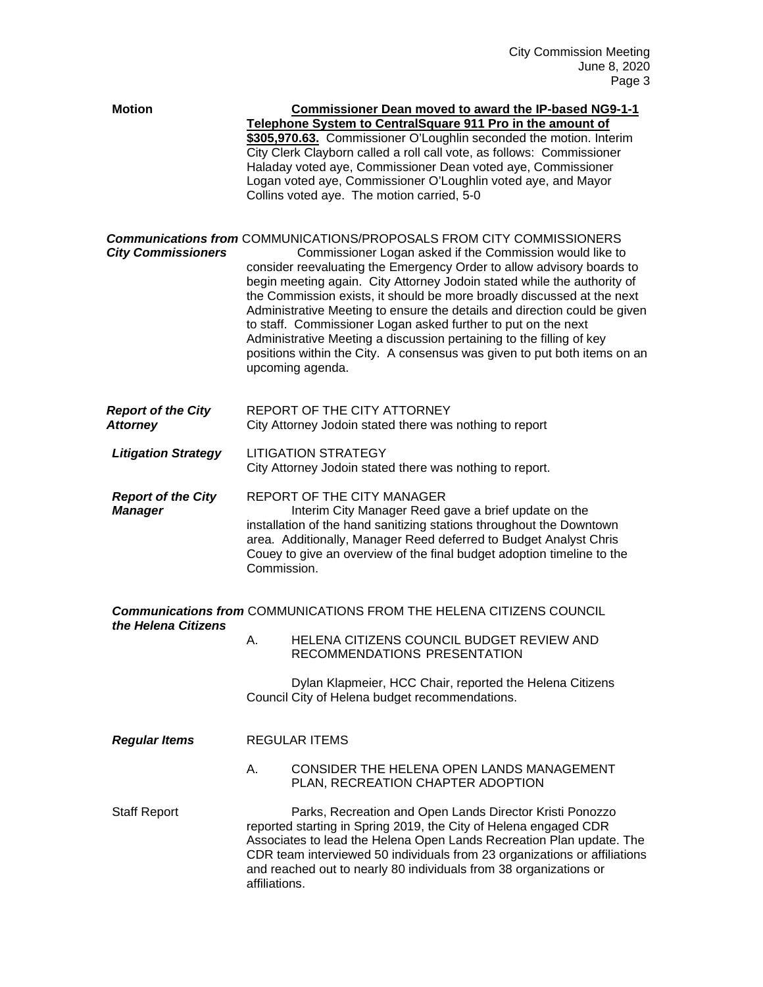| <b>Motion</b>                                |                                                                                                                                                                                                                                                                                                                          | <b>Commissioner Dean moved to award the IP-based NG9-1-1</b><br>Telephone System to CentralSquare 911 Pro in the amount of<br>\$305,970.63. Commissioner O'Loughlin seconded the motion. Interim<br>City Clerk Clayborn called a roll call vote, as follows: Commissioner<br>Haladay voted aye, Commissioner Dean voted aye, Commissioner<br>Logan voted aye, Commissioner O'Loughlin voted aye, and Mayor<br>Collins voted aye. The motion carried, 5-0                                                                                                                                                                                                                                    |
|----------------------------------------------|--------------------------------------------------------------------------------------------------------------------------------------------------------------------------------------------------------------------------------------------------------------------------------------------------------------------------|---------------------------------------------------------------------------------------------------------------------------------------------------------------------------------------------------------------------------------------------------------------------------------------------------------------------------------------------------------------------------------------------------------------------------------------------------------------------------------------------------------------------------------------------------------------------------------------------------------------------------------------------------------------------------------------------|
| <b>City Commissioners</b>                    |                                                                                                                                                                                                                                                                                                                          | <b>Communications from COMMUNICATIONS/PROPOSALS FROM CITY COMMISSIONERS</b><br>Commissioner Logan asked if the Commission would like to<br>consider reevaluating the Emergency Order to allow advisory boards to<br>begin meeting again. City Attorney Jodoin stated while the authority of<br>the Commission exists, it should be more broadly discussed at the next<br>Administrative Meeting to ensure the details and direction could be given<br>to staff. Commissioner Logan asked further to put on the next<br>Administrative Meeting a discussion pertaining to the filling of key<br>positions within the City. A consensus was given to put both items on an<br>upcoming agenda. |
| <b>Report of the City</b><br><b>Attorney</b> |                                                                                                                                                                                                                                                                                                                          | REPORT OF THE CITY ATTORNEY<br>City Attorney Jodoin stated there was nothing to report                                                                                                                                                                                                                                                                                                                                                                                                                                                                                                                                                                                                      |
| <b>Litigation Strategy</b>                   | <b>LITIGATION STRATEGY</b><br>City Attorney Jodoin stated there was nothing to report.                                                                                                                                                                                                                                   |                                                                                                                                                                                                                                                                                                                                                                                                                                                                                                                                                                                                                                                                                             |
| <b>Report of the City</b><br><b>Manager</b>  | REPORT OF THE CITY MANAGER<br>Interim City Manager Reed gave a brief update on the<br>installation of the hand sanitizing stations throughout the Downtown<br>area. Additionally, Manager Reed deferred to Budget Analyst Chris<br>Couey to give an overview of the final budget adoption timeline to the<br>Commission. |                                                                                                                                                                                                                                                                                                                                                                                                                                                                                                                                                                                                                                                                                             |
| the Helena Citizens                          |                                                                                                                                                                                                                                                                                                                          | <b>Communications from COMMUNICATIONS FROM THE HELENA CITIZENS COUNCIL</b>                                                                                                                                                                                                                                                                                                                                                                                                                                                                                                                                                                                                                  |
|                                              | А.                                                                                                                                                                                                                                                                                                                       | HELENA CITIZENS COUNCIL BUDGET REVIEW AND<br>RECOMMENDATIONS PRESENTATION                                                                                                                                                                                                                                                                                                                                                                                                                                                                                                                                                                                                                   |
|                                              |                                                                                                                                                                                                                                                                                                                          | Dylan Klapmeier, HCC Chair, reported the Helena Citizens<br>Council City of Helena budget recommendations.                                                                                                                                                                                                                                                                                                                                                                                                                                                                                                                                                                                  |
| <b>Regular Items</b>                         |                                                                                                                                                                                                                                                                                                                          | <b>REGULAR ITEMS</b>                                                                                                                                                                                                                                                                                                                                                                                                                                                                                                                                                                                                                                                                        |
|                                              | А.                                                                                                                                                                                                                                                                                                                       | CONSIDER THE HELENA OPEN LANDS MANAGEMENT<br>PLAN, RECREATION CHAPTER ADOPTION                                                                                                                                                                                                                                                                                                                                                                                                                                                                                                                                                                                                              |
| <b>Staff Report</b>                          | affiliations.                                                                                                                                                                                                                                                                                                            | Parks, Recreation and Open Lands Director Kristi Ponozzo<br>reported starting in Spring 2019, the City of Helena engaged CDR<br>Associates to lead the Helena Open Lands Recreation Plan update. The<br>CDR team interviewed 50 individuals from 23 organizations or affiliations<br>and reached out to nearly 80 individuals from 38 organizations or                                                                                                                                                                                                                                                                                                                                      |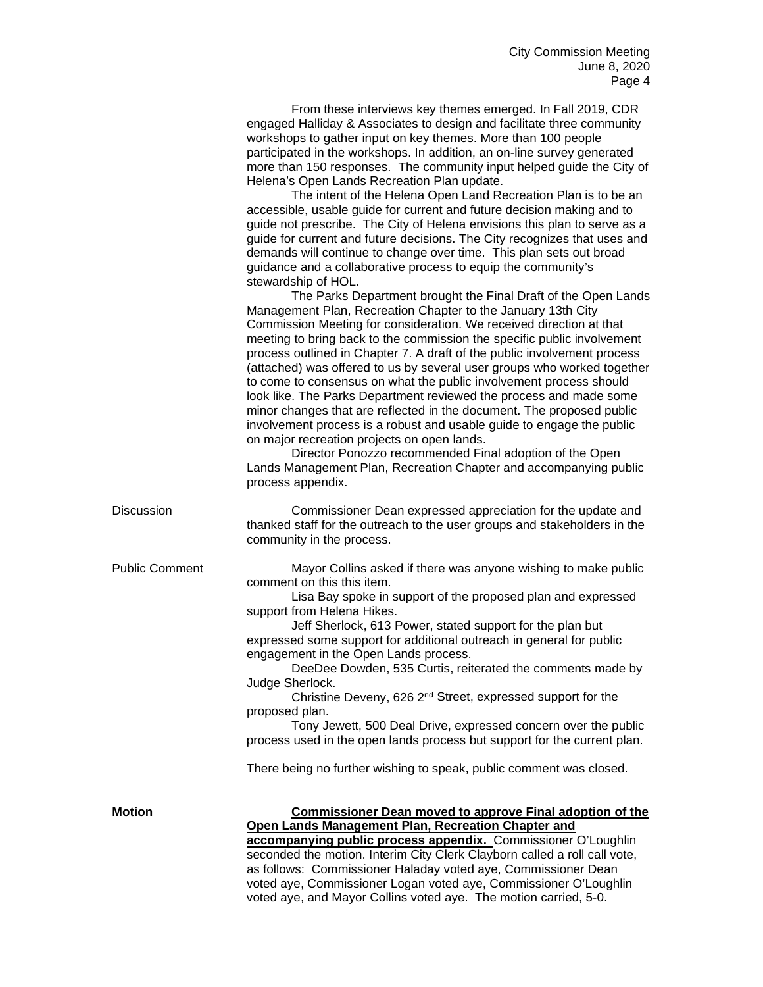| From these interviews key themes emerged. In Fall 2019, CDR<br>engaged Halliday & Associates to design and facilitate three community<br>workshops to gather input on key themes. More than 100 people<br>participated in the workshops. In addition, an on-line survey generated<br>more than 150 responses. The community input helped guide the City of                                                                                                        |
|-------------------------------------------------------------------------------------------------------------------------------------------------------------------------------------------------------------------------------------------------------------------------------------------------------------------------------------------------------------------------------------------------------------------------------------------------------------------|
| Helena's Open Lands Recreation Plan update.                                                                                                                                                                                                                                                                                                                                                                                                                       |
| The intent of the Helena Open Land Recreation Plan is to be an<br>accessible, usable guide for current and future decision making and to<br>guide not prescribe. The City of Helena envisions this plan to serve as a<br>guide for current and future decisions. The City recognizes that uses and<br>demands will continue to change over time. This plan sets out broad<br>guidance and a collaborative process to equip the community's<br>stewardship of HOL. |
| The Parks Department brought the Final Draft of the Open Lands                                                                                                                                                                                                                                                                                                                                                                                                    |
| Management Plan, Recreation Chapter to the January 13th City                                                                                                                                                                                                                                                                                                                                                                                                      |
| Commission Meeting for consideration. We received direction at that<br>meeting to bring back to the commission the specific public involvement<br>process outlined in Chapter 7. A draft of the public involvement process                                                                                                                                                                                                                                        |

(attached) was offered to us by several user groups who worked together to come to consensus on what the public involvement process should look like. The Parks Department reviewed the process and made some minor changes that are reflected in the document. The proposed public involvement process is a robust and usable guide to engage the public on major recreation projects on open lands.

Director Ponozzo recommended Final adoption of the Open Lands Management Plan, Recreation Chapter and accompanying public process appendix.

Discussion Commissioner Dean expressed appreciation for the update and thanked staff for the outreach to the user groups and stakeholders in the community in the process.

Public Comment Mayor Collins asked if there was anyone wishing to make public comment on this this item.

> Lisa Bay spoke in support of the proposed plan and expressed support from Helena Hikes.

Jeff Sherlock, 613 Power, stated support for the plan but expressed some support for additional outreach in general for public engagement in the Open Lands process.

DeeDee Dowden, 535 Curtis, reiterated the comments made by Judge Sherlock.

Christine Deveny, 626 2nd Street, expressed support for the proposed plan.

Tony Jewett, 500 Deal Drive, expressed concern over the public process used in the open lands process but support for the current plan.

There being no further wishing to speak, public comment was closed.

## **Motion Commissioner Dean moved to approve Final adoption of the Open Lands Management Plan, Recreation Chapter and**

**accompanying public process appendix.** Commissioner O'Loughlin seconded the motion. Interim City Clerk Clayborn called a roll call vote, as follows: Commissioner Haladay voted aye, Commissioner Dean voted aye, Commissioner Logan voted aye, Commissioner O'Loughlin voted aye, and Mayor Collins voted aye. The motion carried, 5-0.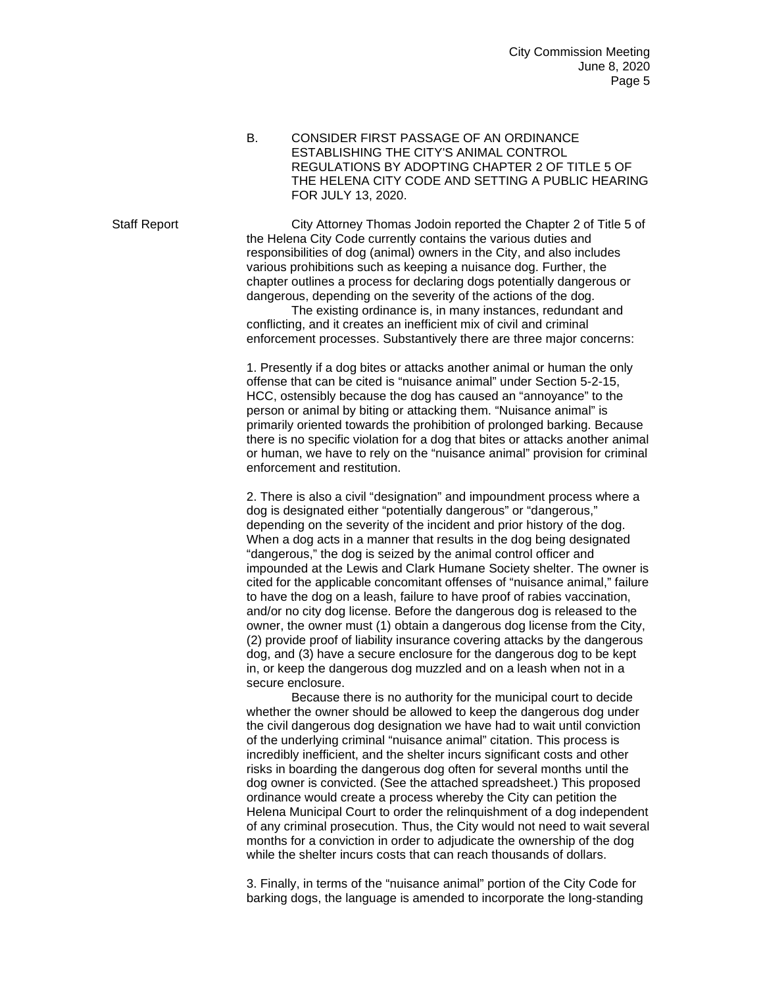B. CONSIDER FIRST PASSAGE OF AN ORDINANCE ESTABLISHING THE CITY'S ANIMAL CONTROL REGULATIONS BY ADOPTING CHAPTER 2 OF TITLE 5 OF THE HELENA CITY CODE AND SETTING A PUBLIC HEARING FOR JULY 13, 2020.

Staff Report City Attorney Thomas Jodoin reported the Chapter 2 of Title 5 of the Helena City Code currently contains the various duties and responsibilities of dog (animal) owners in the City, and also includes various prohibitions such as keeping a nuisance dog. Further, the chapter outlines a process for declaring dogs potentially dangerous or dangerous, depending on the severity of the actions of the dog.

> The existing ordinance is, in many instances, redundant and conflicting, and it creates an inefficient mix of civil and criminal enforcement processes. Substantively there are three major concerns:

1. Presently if a dog bites or attacks another animal or human the only offense that can be cited is "nuisance animal" under Section 5-2-15, HCC, ostensibly because the dog has caused an "annoyance" to the person or animal by biting or attacking them. "Nuisance animal" is primarily oriented towards the prohibition of prolonged barking. Because there is no specific violation for a dog that bites or attacks another animal or human, we have to rely on the "nuisance animal" provision for criminal enforcement and restitution.

2. There is also a civil "designation" and impoundment process where a dog is designated either "potentially dangerous" or "dangerous," depending on the severity of the incident and prior history of the dog. When a dog acts in a manner that results in the dog being designated "dangerous," the dog is seized by the animal control officer and impounded at the Lewis and Clark Humane Society shelter. The owner is cited for the applicable concomitant offenses of "nuisance animal," failure to have the dog on a leash, failure to have proof of rabies vaccination, and/or no city dog license. Before the dangerous dog is released to the owner, the owner must (1) obtain a dangerous dog license from the City, (2) provide proof of liability insurance covering attacks by the dangerous dog, and (3) have a secure enclosure for the dangerous dog to be kept in, or keep the dangerous dog muzzled and on a leash when not in a secure enclosure.

Because there is no authority for the municipal court to decide whether the owner should be allowed to keep the dangerous dog under the civil dangerous dog designation we have had to wait until conviction of the underlying criminal "nuisance animal" citation. This process is incredibly inefficient, and the shelter incurs significant costs and other risks in boarding the dangerous dog often for several months until the dog owner is convicted. (See the attached spreadsheet.) This proposed ordinance would create a process whereby the City can petition the Helena Municipal Court to order the relinquishment of a dog independent of any criminal prosecution. Thus, the City would not need to wait several months for a conviction in order to adjudicate the ownership of the dog while the shelter incurs costs that can reach thousands of dollars.

3. Finally, in terms of the "nuisance animal" portion of the City Code for barking dogs, the language is amended to incorporate the long-standing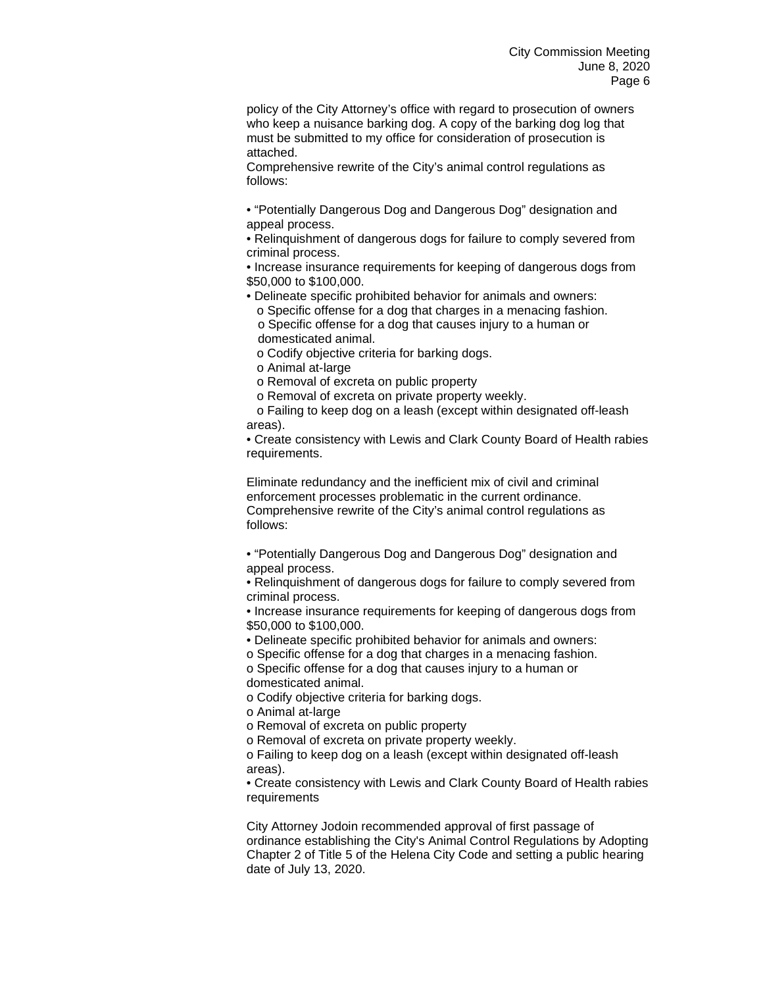policy of the City Attorney's office with regard to prosecution of owners who keep a nuisance barking dog. A copy of the barking dog log that must be submitted to my office for consideration of prosecution is attached.

Comprehensive rewrite of the City's animal control regulations as follows:

• "Potentially Dangerous Dog and Dangerous Dog" designation and appeal process.

• Relinquishment of dangerous dogs for failure to comply severed from criminal process.

• Increase insurance requirements for keeping of dangerous dogs from \$50,000 to \$100,000.

• Delineate specific prohibited behavior for animals and owners:

 o Specific offense for a dog that charges in a menacing fashion. o Specific offense for a dog that causes injury to a human or domesticated animal.

o Codify objective criteria for barking dogs.

o Animal at-large

o Removal of excreta on public property

o Removal of excreta on private property weekly.

 o Failing to keep dog on a leash (except within designated off-leash areas).

• Create consistency with Lewis and Clark County Board of Health rabies requirements.

Eliminate redundancy and the inefficient mix of civil and criminal enforcement processes problematic in the current ordinance. Comprehensive rewrite of the City's animal control regulations as follows:

• "Potentially Dangerous Dog and Dangerous Dog" designation and appeal process.

• Relinquishment of dangerous dogs for failure to comply severed from criminal process.

• Increase insurance requirements for keeping of dangerous dogs from \$50,000 to \$100,000.

• Delineate specific prohibited behavior for animals and owners:

o Specific offense for a dog that charges in a menacing fashion.

o Specific offense for a dog that causes injury to a human or domesticated animal.

o Codify objective criteria for barking dogs.

o Animal at-large

o Removal of excreta on public property

o Removal of excreta on private property weekly.

o Failing to keep dog on a leash (except within designated off-leash areas).

• Create consistency with Lewis and Clark County Board of Health rabies **requirements** 

City Attorney Jodoin recommended approval of first passage of ordinance establishing the City's Animal Control Regulations by Adopting Chapter 2 of Title 5 of the Helena City Code and setting a public hearing date of July 13, 2020.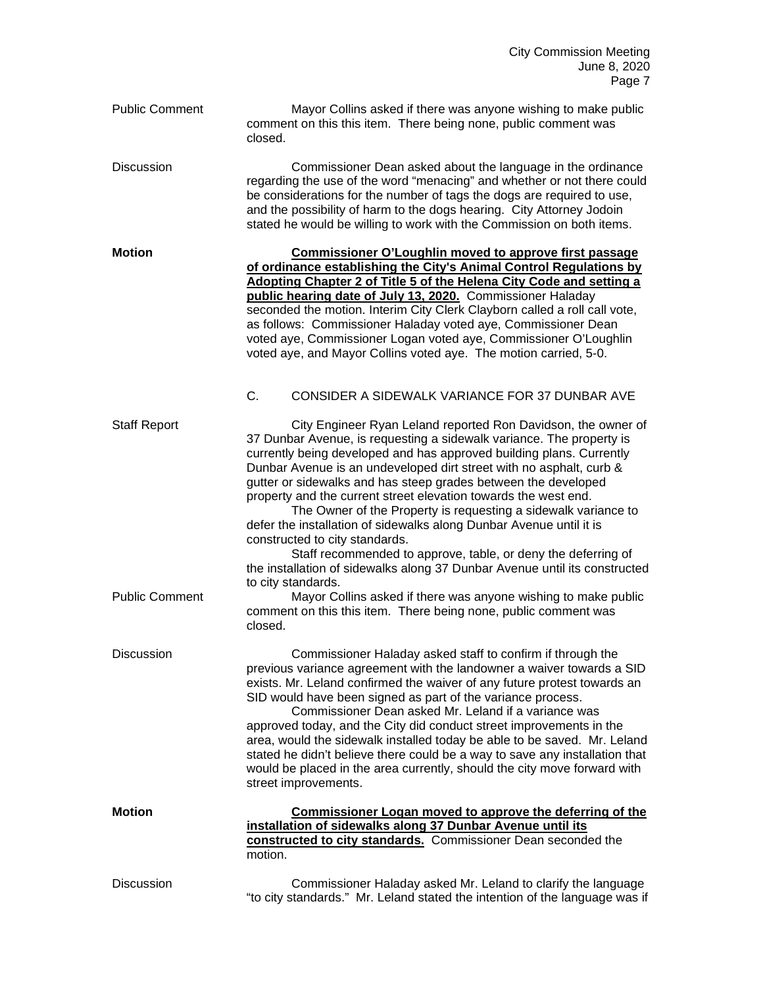| <b>Public Comment</b>                        | Mayor Collins asked if there was anyone wishing to make public<br>comment on this this item. There being none, public comment was<br>closed.                                                                                                                                                                                                                                                                                                                                                                                                                                                                                                                                                                                                                                                                                                                                                                              |
|----------------------------------------------|---------------------------------------------------------------------------------------------------------------------------------------------------------------------------------------------------------------------------------------------------------------------------------------------------------------------------------------------------------------------------------------------------------------------------------------------------------------------------------------------------------------------------------------------------------------------------------------------------------------------------------------------------------------------------------------------------------------------------------------------------------------------------------------------------------------------------------------------------------------------------------------------------------------------------|
| <b>Discussion</b>                            | Commissioner Dean asked about the language in the ordinance<br>regarding the use of the word "menacing" and whether or not there could<br>be considerations for the number of tags the dogs are required to use,<br>and the possibility of harm to the dogs hearing. City Attorney Jodoin<br>stated he would be willing to work with the Commission on both items.                                                                                                                                                                                                                                                                                                                                                                                                                                                                                                                                                        |
| <b>Motion</b>                                | <b>Commissioner O'Loughlin moved to approve first passage</b><br>of ordinance establishing the City's Animal Control Regulations by<br>Adopting Chapter 2 of Title 5 of the Helena City Code and setting a<br>public hearing date of July 13, 2020. Commissioner Haladay<br>seconded the motion. Interim City Clerk Clayborn called a roll call vote,<br>as follows: Commissioner Haladay voted aye, Commissioner Dean<br>voted aye, Commissioner Logan voted aye, Commissioner O'Loughlin<br>voted aye, and Mayor Collins voted aye. The motion carried, 5-0.<br>C.<br>CONSIDER A SIDEWALK VARIANCE FOR 37 DUNBAR AVE                                                                                                                                                                                                                                                                                                    |
| <b>Staff Report</b><br><b>Public Comment</b> | City Engineer Ryan Leland reported Ron Davidson, the owner of<br>37 Dunbar Avenue, is requesting a sidewalk variance. The property is<br>currently being developed and has approved building plans. Currently<br>Dunbar Avenue is an undeveloped dirt street with no asphalt, curb &<br>gutter or sidewalks and has steep grades between the developed<br>property and the current street elevation towards the west end.<br>The Owner of the Property is requesting a sidewalk variance to<br>defer the installation of sidewalks along Dunbar Avenue until it is<br>constructed to city standards.<br>Staff recommended to approve, table, or deny the deferring of<br>the installation of sidewalks along 37 Dunbar Avenue until its constructed<br>to city standards.<br>Mayor Collins asked if there was anyone wishing to make public<br>comment on this this item. There being none, public comment was<br>closed. |
| Discussion                                   | Commissioner Haladay asked staff to confirm if through the<br>previous variance agreement with the landowner a waiver towards a SID<br>exists. Mr. Leland confirmed the waiver of any future protest towards an<br>SID would have been signed as part of the variance process.<br>Commissioner Dean asked Mr. Leland if a variance was<br>approved today, and the City did conduct street improvements in the<br>area, would the sidewalk installed today be able to be saved. Mr. Leland<br>stated he didn't believe there could be a way to save any installation that<br>would be placed in the area currently, should the city move forward with<br>street improvements.                                                                                                                                                                                                                                              |
| <b>Motion</b>                                | Commissioner Logan moved to approve the deferring of the<br>installation of sidewalks along 37 Dunbar Avenue until its<br>constructed to city standards. Commissioner Dean seconded the<br>motion.                                                                                                                                                                                                                                                                                                                                                                                                                                                                                                                                                                                                                                                                                                                        |
| <b>Discussion</b>                            | Commissioner Haladay asked Mr. Leland to clarify the language<br>"to city standards." Mr. Leland stated the intention of the language was if                                                                                                                                                                                                                                                                                                                                                                                                                                                                                                                                                                                                                                                                                                                                                                              |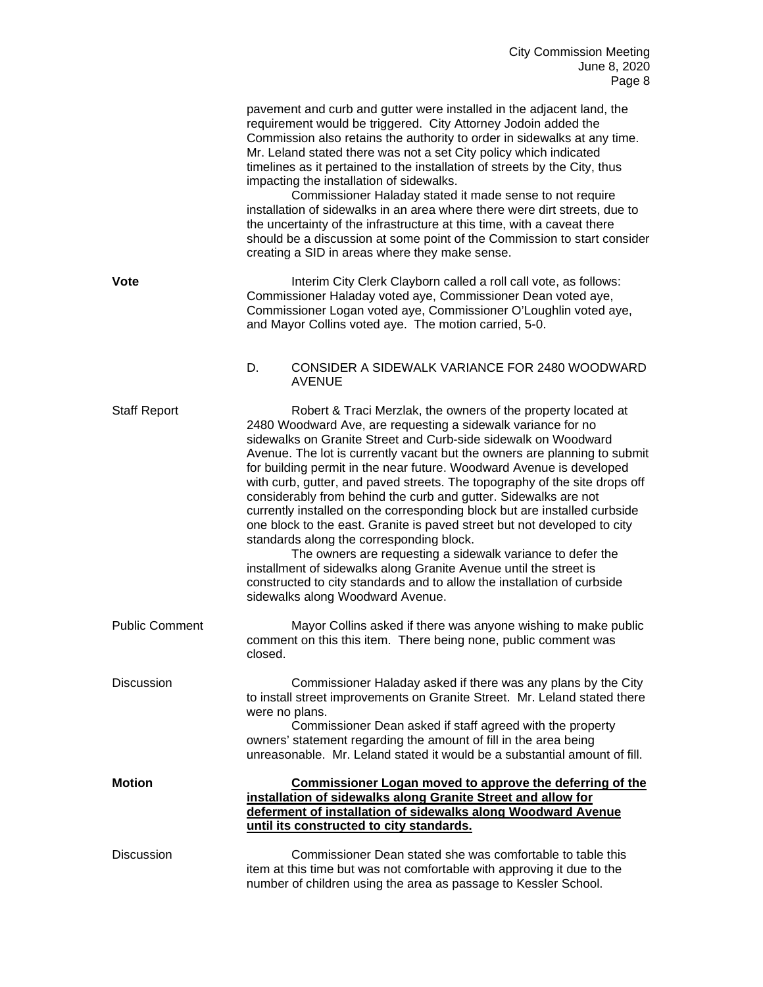|                       | pavement and curb and gutter were installed in the adjacent land, the<br>requirement would be triggered. City Attorney Jodoin added the<br>Commission also retains the authority to order in sidewalks at any time.<br>Mr. Leland stated there was not a set City policy which indicated<br>timelines as it pertained to the installation of streets by the City, thus<br>impacting the installation of sidewalks.<br>Commissioner Haladay stated it made sense to not require<br>installation of sidewalks in an area where there were dirt streets, due to<br>the uncertainty of the infrastructure at this time, with a caveat there<br>should be a discussion at some point of the Commission to start consider<br>creating a SID in areas where they make sense.                                                                                                                                                                                        |
|-----------------------|--------------------------------------------------------------------------------------------------------------------------------------------------------------------------------------------------------------------------------------------------------------------------------------------------------------------------------------------------------------------------------------------------------------------------------------------------------------------------------------------------------------------------------------------------------------------------------------------------------------------------------------------------------------------------------------------------------------------------------------------------------------------------------------------------------------------------------------------------------------------------------------------------------------------------------------------------------------|
| <b>Vote</b>           | Interim City Clerk Clayborn called a roll call vote, as follows:<br>Commissioner Haladay voted aye, Commissioner Dean voted aye,<br>Commissioner Logan voted aye, Commissioner O'Loughlin voted aye,<br>and Mayor Collins voted aye. The motion carried, 5-0.                                                                                                                                                                                                                                                                                                                                                                                                                                                                                                                                                                                                                                                                                                |
|                       | D.<br>CONSIDER A SIDEWALK VARIANCE FOR 2480 WOODWARD<br><b>AVENUE</b>                                                                                                                                                                                                                                                                                                                                                                                                                                                                                                                                                                                                                                                                                                                                                                                                                                                                                        |
| <b>Staff Report</b>   | Robert & Traci Merzlak, the owners of the property located at<br>2480 Woodward Ave, are requesting a sidewalk variance for no<br>sidewalks on Granite Street and Curb-side sidewalk on Woodward<br>Avenue. The lot is currently vacant but the owners are planning to submit<br>for building permit in the near future. Woodward Avenue is developed<br>with curb, gutter, and paved streets. The topography of the site drops off<br>considerably from behind the curb and gutter. Sidewalks are not<br>currently installed on the corresponding block but are installed curbside<br>one block to the east. Granite is paved street but not developed to city<br>standards along the corresponding block.<br>The owners are requesting a sidewalk variance to defer the<br>installment of sidewalks along Granite Avenue until the street is<br>constructed to city standards and to allow the installation of curbside<br>sidewalks along Woodward Avenue. |
| <b>Public Comment</b> | Mayor Collins asked if there was anyone wishing to make public<br>comment on this this item. There being none, public comment was<br>closed.                                                                                                                                                                                                                                                                                                                                                                                                                                                                                                                                                                                                                                                                                                                                                                                                                 |
| <b>Discussion</b>     | Commissioner Haladay asked if there was any plans by the City<br>to install street improvements on Granite Street. Mr. Leland stated there<br>were no plans.<br>Commissioner Dean asked if staff agreed with the property<br>owners' statement regarding the amount of fill in the area being<br>unreasonable. Mr. Leland stated it would be a substantial amount of fill.                                                                                                                                                                                                                                                                                                                                                                                                                                                                                                                                                                                   |
| <b>Motion</b>         | Commissioner Logan moved to approve the deferring of the<br>installation of sidewalks along Granite Street and allow for<br>deferment of installation of sidewalks along Woodward Avenue<br>until its constructed to city standards.                                                                                                                                                                                                                                                                                                                                                                                                                                                                                                                                                                                                                                                                                                                         |
| <b>Discussion</b>     | Commissioner Dean stated she was comfortable to table this<br>item at this time but was not comfortable with approving it due to the<br>number of children using the area as passage to Kessler School.                                                                                                                                                                                                                                                                                                                                                                                                                                                                                                                                                                                                                                                                                                                                                      |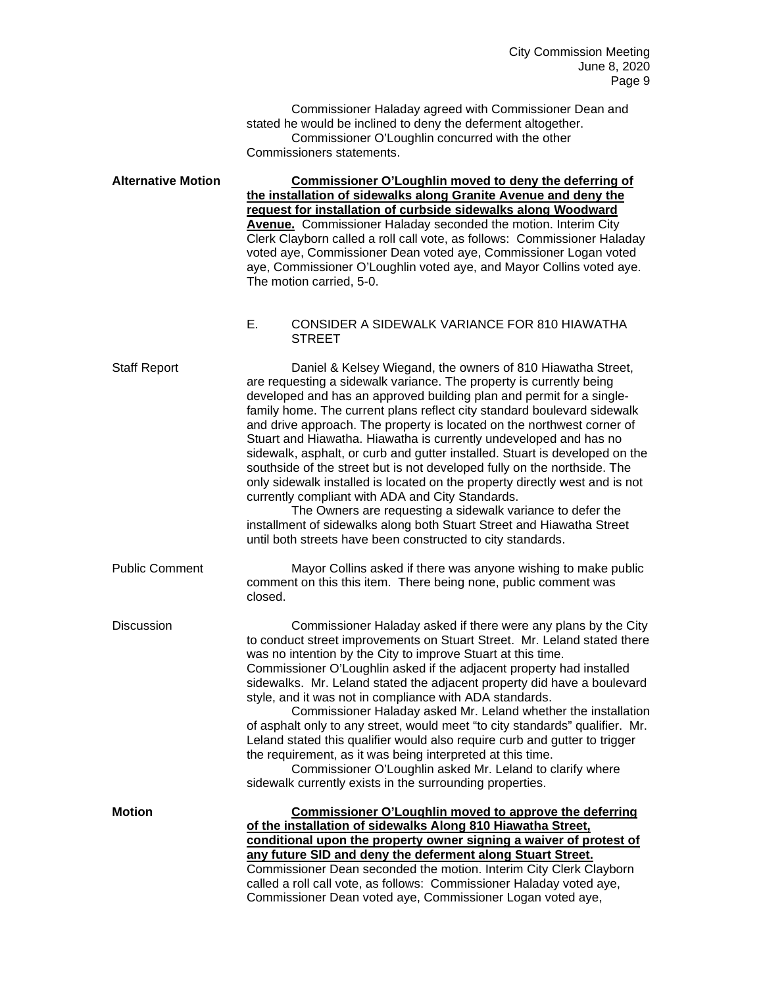Commissioner Haladay agreed with Commissioner Dean and stated he would be inclined to deny the deferment altogether. Commissioner O'Loughlin concurred with the other Commissioners statements.

**Alternative Motion Commissioner O'Loughlin moved to deny the deferring of the installation of sidewalks along Granite Avenue and deny the request for installation of curbside sidewalks along Woodward Avenue.** Commissioner Haladay seconded the motion. Interim City Clerk Clayborn called a roll call vote, as follows: Commissioner Haladay voted aye, Commissioner Dean voted aye, Commissioner Logan voted aye, Commissioner O'Loughlin voted aye, and Mayor Collins voted aye. The motion carried, 5-0.

## E. CONSIDER A SIDEWALK VARIANCE FOR 810 HIAWATHA STREET

Staff Report Daniel & Kelsey Wiegand, the owners of 810 Hiawatha Street, are requesting a sidewalk variance. The property is currently being developed and has an approved building plan and permit for a singlefamily home. The current plans reflect city standard boulevard sidewalk and drive approach. The property is located on the northwest corner of Stuart and Hiawatha. Hiawatha is currently undeveloped and has no sidewalk, asphalt, or curb and gutter installed. Stuart is developed on the southside of the street but is not developed fully on the northside. The only sidewalk installed is located on the property directly west and is not currently compliant with ADA and City Standards.

The Owners are requesting a sidewalk variance to defer the installment of sidewalks along both Stuart Street and Hiawatha Street until both streets have been constructed to city standards.

Public Comment Mayor Collins asked if there was anyone wishing to make public comment on this this item. There being none, public comment was closed.

Discussion Commissioner Haladay asked if there were any plans by the City to conduct street improvements on Stuart Street. Mr. Leland stated there was no intention by the City to improve Stuart at this time. Commissioner O'Loughlin asked if the adjacent property had installed sidewalks. Mr. Leland stated the adjacent property did have a boulevard

> style, and it was not in compliance with ADA standards. Commissioner Haladay asked Mr. Leland whether the installation of asphalt only to any street, would meet "to city standards" qualifier. Mr. Leland stated this qualifier would also require curb and gutter to trigger the requirement, as it was being interpreted at this time.

Commissioner O'Loughlin asked Mr. Leland to clarify where sidewalk currently exists in the surrounding properties.

**Motion Commissioner O'Loughlin moved to approve the deferring of the installation of sidewalks Along 810 Hiawatha Street, conditional upon the property owner signing a waiver of protest of any future SID and deny the deferment along Stuart Street.**  Commissioner Dean seconded the motion. Interim City Clerk Clayborn called a roll call vote, as follows: Commissioner Haladay voted aye, Commissioner Dean voted aye, Commissioner Logan voted aye,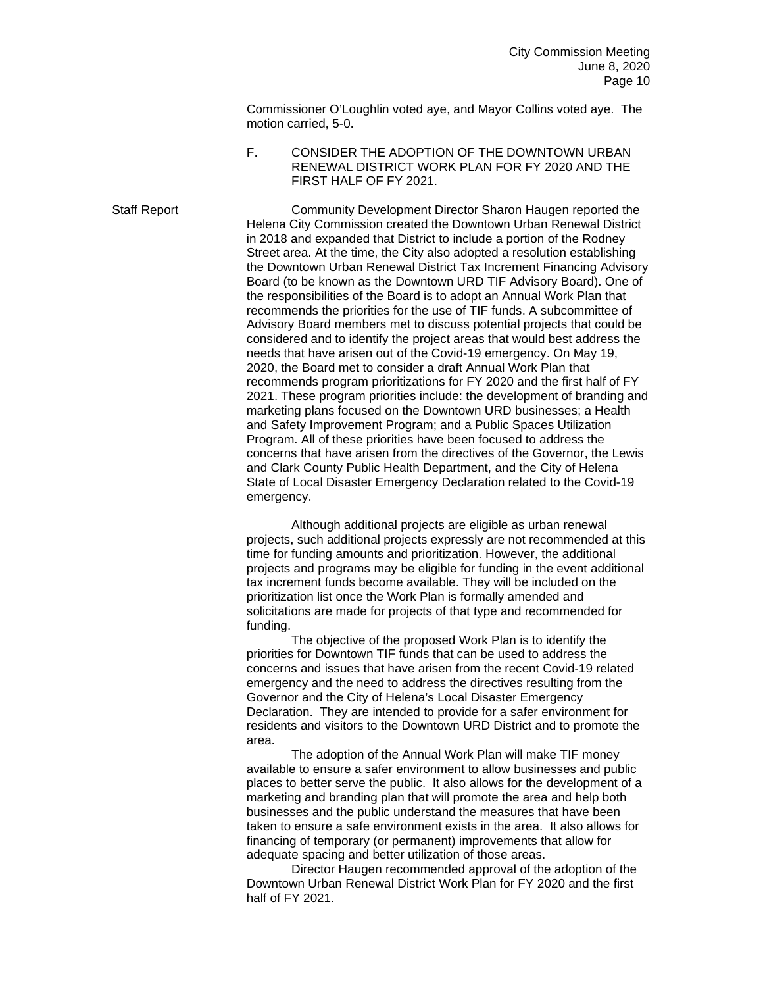Commissioner O'Loughlin voted aye, and Mayor Collins voted aye. The motion carried, 5-0.

F. CONSIDER THE ADOPTION OF THE DOWNTOWN URBAN RENEWAL DISTRICT WORK PLAN FOR FY 2020 AND THE FIRST HALF OF FY 2021.

Staff Report Community Development Director Sharon Haugen reported the Helena City Commission created the Downtown Urban Renewal District in 2018 and expanded that District to include a portion of the Rodney Street area. At the time, the City also adopted a resolution establishing the Downtown Urban Renewal District Tax Increment Financing Advisory Board (to be known as the Downtown URD TIF Advisory Board). One of the responsibilities of the Board is to adopt an Annual Work Plan that recommends the priorities for the use of TIF funds. A subcommittee of Advisory Board members met to discuss potential projects that could be considered and to identify the project areas that would best address the needs that have arisen out of the Covid-19 emergency. On May 19, 2020, the Board met to consider a draft Annual Work Plan that recommends program prioritizations for FY 2020 and the first half of FY 2021. These program priorities include: the development of branding and marketing plans focused on the Downtown URD businesses; a Health and Safety Improvement Program; and a Public Spaces Utilization Program. All of these priorities have been focused to address the concerns that have arisen from the directives of the Governor, the Lewis and Clark County Public Health Department, and the City of Helena State of Local Disaster Emergency Declaration related to the Covid-19 emergency.

> Although additional projects are eligible as urban renewal projects, such additional projects expressly are not recommended at this time for funding amounts and prioritization. However, the additional projects and programs may be eligible for funding in the event additional tax increment funds become available. They will be included on the prioritization list once the Work Plan is formally amended and solicitations are made for projects of that type and recommended for funding.

The objective of the proposed Work Plan is to identify the priorities for Downtown TIF funds that can be used to address the concerns and issues that have arisen from the recent Covid-19 related emergency and the need to address the directives resulting from the Governor and the City of Helena's Local Disaster Emergency Declaration. They are intended to provide for a safer environment for residents and visitors to the Downtown URD District and to promote the area.

The adoption of the Annual Work Plan will make TIF money available to ensure a safer environment to allow businesses and public places to better serve the public. It also allows for the development of a marketing and branding plan that will promote the area and help both businesses and the public understand the measures that have been taken to ensure a safe environment exists in the area. It also allows for financing of temporary (or permanent) improvements that allow for adequate spacing and better utilization of those areas.

Director Haugen recommended approval of the adoption of the Downtown Urban Renewal District Work Plan for FY 2020 and the first half of FY 2021.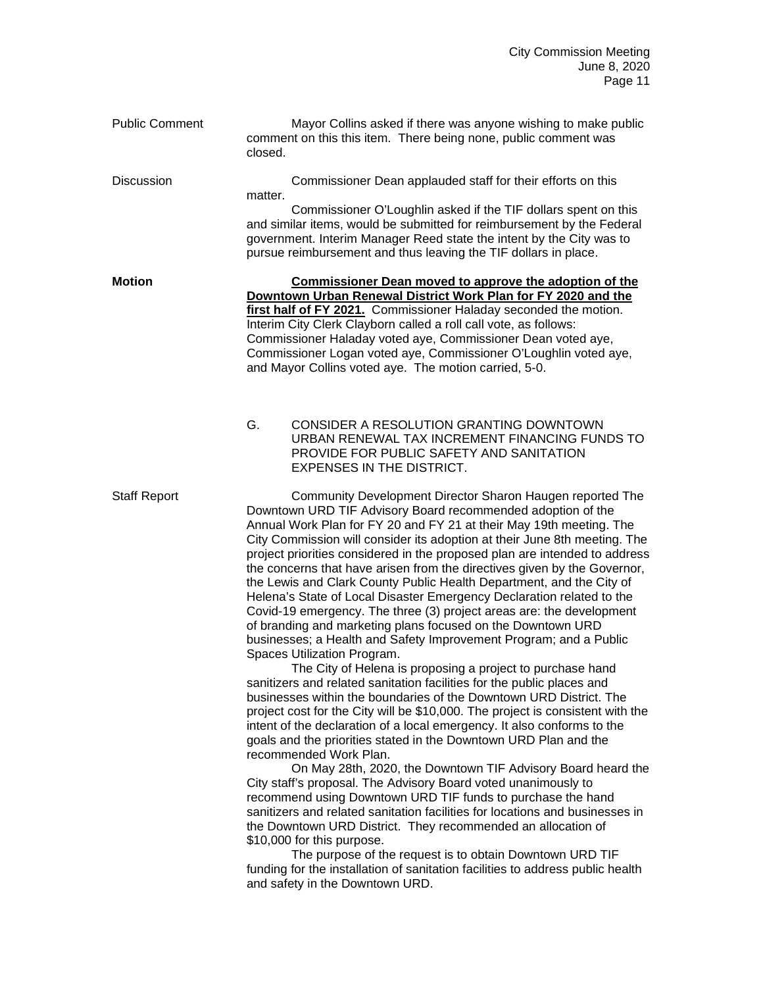| <b>Public Comment</b> | Mayor Collins asked if there was anyone wishing to make public<br>comment on this this item. There being none, public comment was<br>closed.                                                                                                                                                                                                                                                                                                                                                                                                                                                                                                                                                                                                                                                                                                                                                                                                                                                                                                                                                                                                                                                                                                                                                                                                                                                                                                                                                                                                                                                                                                                                                                                                                                                                                                                                |
|-----------------------|-----------------------------------------------------------------------------------------------------------------------------------------------------------------------------------------------------------------------------------------------------------------------------------------------------------------------------------------------------------------------------------------------------------------------------------------------------------------------------------------------------------------------------------------------------------------------------------------------------------------------------------------------------------------------------------------------------------------------------------------------------------------------------------------------------------------------------------------------------------------------------------------------------------------------------------------------------------------------------------------------------------------------------------------------------------------------------------------------------------------------------------------------------------------------------------------------------------------------------------------------------------------------------------------------------------------------------------------------------------------------------------------------------------------------------------------------------------------------------------------------------------------------------------------------------------------------------------------------------------------------------------------------------------------------------------------------------------------------------------------------------------------------------------------------------------------------------------------------------------------------------|
| Discussion            | Commissioner Dean applauded staff for their efforts on this<br>matter.                                                                                                                                                                                                                                                                                                                                                                                                                                                                                                                                                                                                                                                                                                                                                                                                                                                                                                                                                                                                                                                                                                                                                                                                                                                                                                                                                                                                                                                                                                                                                                                                                                                                                                                                                                                                      |
|                       | Commissioner O'Loughlin asked if the TIF dollars spent on this<br>and similar items, would be submitted for reimbursement by the Federal<br>government. Interim Manager Reed state the intent by the City was to<br>pursue reimbursement and thus leaving the TIF dollars in place.                                                                                                                                                                                                                                                                                                                                                                                                                                                                                                                                                                                                                                                                                                                                                                                                                                                                                                                                                                                                                                                                                                                                                                                                                                                                                                                                                                                                                                                                                                                                                                                         |
| <b>Motion</b>         | <b>Commissioner Dean moved to approve the adoption of the</b><br>Downtown Urban Renewal District Work Plan for FY 2020 and the<br>first half of FY 2021. Commissioner Haladay seconded the motion.<br>Interim City Clerk Clayborn called a roll call vote, as follows:<br>Commissioner Haladay voted aye, Commissioner Dean voted aye,<br>Commissioner Logan voted aye, Commissioner O'Loughlin voted aye,<br>and Mayor Collins voted aye. The motion carried, 5-0.                                                                                                                                                                                                                                                                                                                                                                                                                                                                                                                                                                                                                                                                                                                                                                                                                                                                                                                                                                                                                                                                                                                                                                                                                                                                                                                                                                                                         |
|                       | G.<br>CONSIDER A RESOLUTION GRANTING DOWNTOWN<br>URBAN RENEWAL TAX INCREMENT FINANCING FUNDS TO<br>PROVIDE FOR PUBLIC SAFETY AND SANITATION<br><b>EXPENSES IN THE DISTRICT.</b>                                                                                                                                                                                                                                                                                                                                                                                                                                                                                                                                                                                                                                                                                                                                                                                                                                                                                                                                                                                                                                                                                                                                                                                                                                                                                                                                                                                                                                                                                                                                                                                                                                                                                             |
| <b>Staff Report</b>   | Community Development Director Sharon Haugen reported The<br>Downtown URD TIF Advisory Board recommended adoption of the<br>Annual Work Plan for FY 20 and FY 21 at their May 19th meeting. The<br>City Commission will consider its adoption at their June 8th meeting. The<br>project priorities considered in the proposed plan are intended to address<br>the concerns that have arisen from the directives given by the Governor,<br>the Lewis and Clark County Public Health Department, and the City of<br>Helena's State of Local Disaster Emergency Declaration related to the<br>Covid-19 emergency. The three (3) project areas are: the development<br>of branding and marketing plans focused on the Downtown URD<br>businesses; a Health and Safety Improvement Program; and a Public<br>Spaces Utilization Program.<br>The City of Helena is proposing a project to purchase hand<br>sanitizers and related sanitation facilities for the public places and<br>businesses within the boundaries of the Downtown URD District. The<br>project cost for the City will be \$10,000. The project is consistent with the<br>intent of the declaration of a local emergency. It also conforms to the<br>goals and the priorities stated in the Downtown URD Plan and the<br>recommended Work Plan.<br>On May 28th, 2020, the Downtown TIF Advisory Board heard the<br>City staff's proposal. The Advisory Board voted unanimously to<br>recommend using Downtown URD TIF funds to purchase the hand<br>sanitizers and related sanitation facilities for locations and businesses in<br>the Downtown URD District. They recommended an allocation of<br>\$10,000 for this purpose.<br>The purpose of the request is to obtain Downtown URD TIF<br>funding for the installation of sanitation facilities to address public health<br>and safety in the Downtown URD. |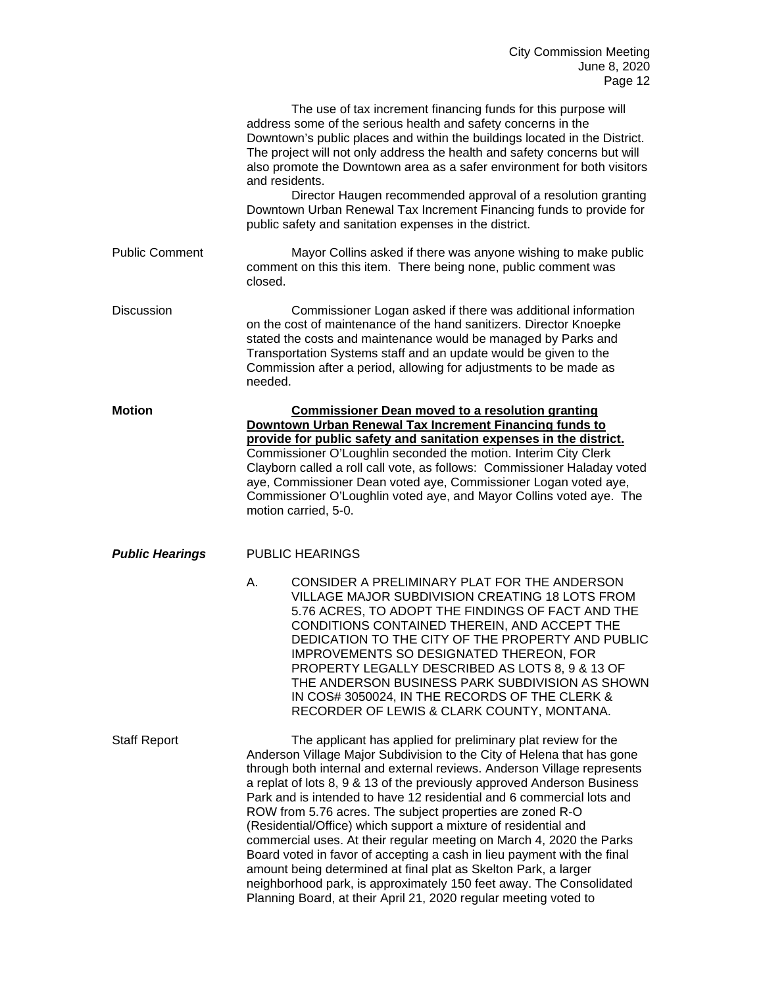|                        | The use of tax increment financing funds for this purpose will<br>address some of the serious health and safety concerns in the<br>Downtown's public places and within the buildings located in the District.<br>The project will not only address the health and safety concerns but will<br>also promote the Downtown area as a safer environment for both visitors<br>and residents.<br>Director Haugen recommended approval of a resolution granting<br>Downtown Urban Renewal Tax Increment Financing funds to provide for<br>public safety and sanitation expenses in the district.                                                                                                                                                                                                                                                                               |
|------------------------|-------------------------------------------------------------------------------------------------------------------------------------------------------------------------------------------------------------------------------------------------------------------------------------------------------------------------------------------------------------------------------------------------------------------------------------------------------------------------------------------------------------------------------------------------------------------------------------------------------------------------------------------------------------------------------------------------------------------------------------------------------------------------------------------------------------------------------------------------------------------------|
| <b>Public Comment</b>  | Mayor Collins asked if there was anyone wishing to make public<br>comment on this this item. There being none, public comment was<br>closed.                                                                                                                                                                                                                                                                                                                                                                                                                                                                                                                                                                                                                                                                                                                            |
| <b>Discussion</b>      | Commissioner Logan asked if there was additional information<br>on the cost of maintenance of the hand sanitizers. Director Knoepke<br>stated the costs and maintenance would be managed by Parks and<br>Transportation Systems staff and an update would be given to the<br>Commission after a period, allowing for adjustments to be made as<br>needed.                                                                                                                                                                                                                                                                                                                                                                                                                                                                                                               |
| <b>Motion</b>          | <b>Commissioner Dean moved to a resolution granting</b><br>Downtown Urban Renewal Tax Increment Financing funds to<br>provide for public safety and sanitation expenses in the district.<br>Commissioner O'Loughlin seconded the motion. Interim City Clerk<br>Clayborn called a roll call vote, as follows: Commissioner Haladay voted<br>aye, Commissioner Dean voted aye, Commissioner Logan voted aye,<br>Commissioner O'Loughlin voted aye, and Mayor Collins voted aye. The<br>motion carried, 5-0.                                                                                                                                                                                                                                                                                                                                                               |
| <b>Public Hearings</b> | <b>PUBLIC HEARINGS</b>                                                                                                                                                                                                                                                                                                                                                                                                                                                                                                                                                                                                                                                                                                                                                                                                                                                  |
|                        | CONSIDER A PRELIMINARY PLAT FOR THE ANDERSON<br>А.<br>VILLAGE MAJOR SUBDIVISION CREATING 18 LOTS FROM<br>5.76 ACRES, TO ADOPT THE FINDINGS OF FACT AND THE<br>CONDITIONS CONTAINED THEREIN, AND ACCEPT THE<br>DEDICATION TO THE CITY OF THE PROPERTY AND PUBLIC<br>IMPROVEMENTS SO DESIGNATED THEREON, FOR<br>PROPERTY LEGALLY DESCRIBED AS LOTS 8, 9 & 13 OF<br>THE ANDERSON BUSINESS PARK SUBDIVISION AS SHOWN<br>IN COS# 3050024, IN THE RECORDS OF THE CLERK &<br>RECORDER OF LEWIS & CLARK COUNTY, MONTANA.                                                                                                                                                                                                                                                                                                                                                        |
| <b>Staff Report</b>    | The applicant has applied for preliminary plat review for the<br>Anderson Village Major Subdivision to the City of Helena that has gone<br>through both internal and external reviews. Anderson Village represents<br>a replat of lots 8, 9 & 13 of the previously approved Anderson Business<br>Park and is intended to have 12 residential and 6 commercial lots and<br>ROW from 5.76 acres. The subject properties are zoned R-O<br>(Residential/Office) which support a mixture of residential and<br>commercial uses. At their regular meeting on March 4, 2020 the Parks<br>Board voted in favor of accepting a cash in lieu payment with the final<br>amount being determined at final plat as Skelton Park, a larger<br>neighborhood park, is approximately 150 feet away. The Consolidated<br>Planning Board, at their April 21, 2020 regular meeting voted to |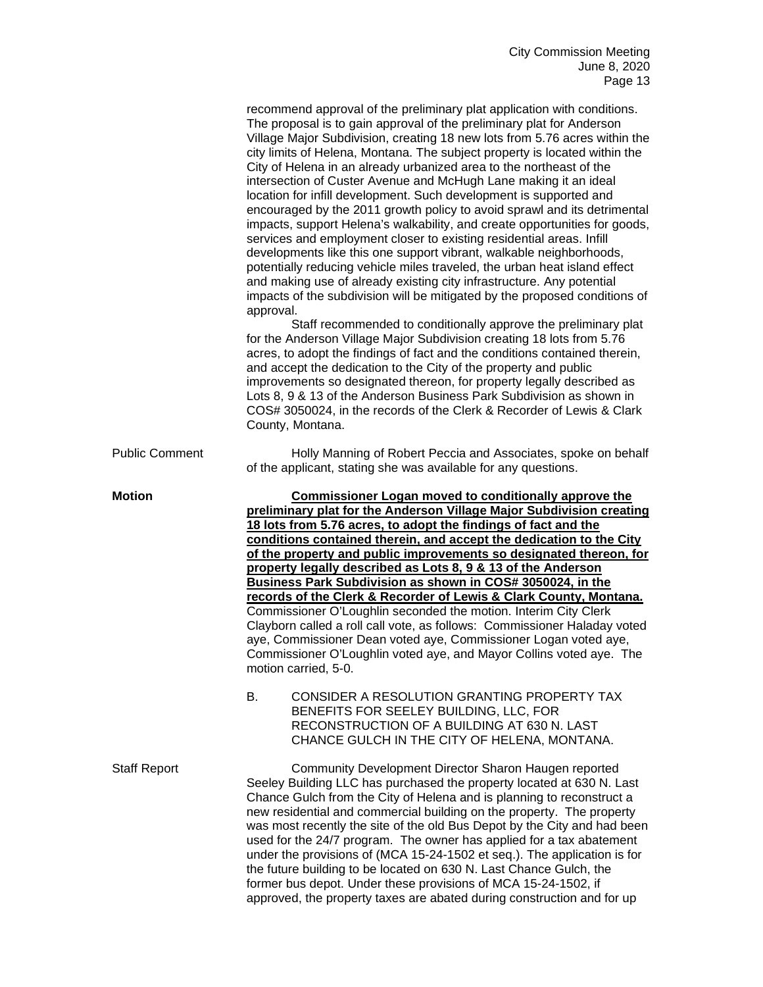|                       | recommend approval of the preliminary plat application with conditions.<br>The proposal is to gain approval of the preliminary plat for Anderson<br>Village Major Subdivision, creating 18 new lots from 5.76 acres within the<br>city limits of Helena, Montana. The subject property is located within the<br>City of Helena in an already urbanized area to the northeast of the<br>intersection of Custer Avenue and McHugh Lane making it an ideal<br>location for infill development. Such development is supported and<br>encouraged by the 2011 growth policy to avoid sprawl and its detrimental<br>impacts, support Helena's walkability, and create opportunities for goods,<br>services and employment closer to existing residential areas. Infill<br>developments like this one support vibrant, walkable neighborhoods,<br>potentially reducing vehicle miles traveled, the urban heat island effect<br>and making use of already existing city infrastructure. Any potential<br>impacts of the subdivision will be mitigated by the proposed conditions of<br>approval.<br>Staff recommended to conditionally approve the preliminary plat<br>for the Anderson Village Major Subdivision creating 18 lots from 5.76<br>acres, to adopt the findings of fact and the conditions contained therein,<br>and accept the dedication to the City of the property and public<br>improvements so designated thereon, for property legally described as<br>Lots 8, 9 & 13 of the Anderson Business Park Subdivision as shown in<br>COS# 3050024, in the records of the Clerk & Recorder of Lewis & Clark<br>County, Montana. |
|-----------------------|-------------------------------------------------------------------------------------------------------------------------------------------------------------------------------------------------------------------------------------------------------------------------------------------------------------------------------------------------------------------------------------------------------------------------------------------------------------------------------------------------------------------------------------------------------------------------------------------------------------------------------------------------------------------------------------------------------------------------------------------------------------------------------------------------------------------------------------------------------------------------------------------------------------------------------------------------------------------------------------------------------------------------------------------------------------------------------------------------------------------------------------------------------------------------------------------------------------------------------------------------------------------------------------------------------------------------------------------------------------------------------------------------------------------------------------------------------------------------------------------------------------------------------------------------------------------------------------------------------------------------------------|
| <b>Public Comment</b> | Holly Manning of Robert Peccia and Associates, spoke on behalf<br>of the applicant, stating she was available for any questions.                                                                                                                                                                                                                                                                                                                                                                                                                                                                                                                                                                                                                                                                                                                                                                                                                                                                                                                                                                                                                                                                                                                                                                                                                                                                                                                                                                                                                                                                                                    |
| <b>Motion</b>         | <b>Commissioner Logan moved to conditionally approve the</b><br>preliminary plat for the Anderson Village Major Subdivision creating<br>18 lots from 5.76 acres, to adopt the findings of fact and the<br>conditions contained therein, and accept the dedication to the City<br>of the property and public improvements so designated thereon, for<br>property legally described as Lots 8, 9 & 13 of the Anderson<br>Business Park Subdivision as shown in COS# 3050024, in the<br>records of the Clerk & Recorder of Lewis & Clark County, Montana.<br>Commissioner O'Loughlin seconded the motion. Interim City Clerk<br>Clayborn called a roll call vote, as follows: Commissioner Haladay voted<br>aye, Commissioner Dean voted aye, Commissioner Logan voted aye,<br>Commissioner O'Loughlin voted aye, and Mayor Collins voted aye. The<br>motion carried, 5-0.<br>В.<br>CONSIDER A RESOLUTION GRANTING PROPERTY TAX<br>BENEFITS FOR SEELEY BUILDING, LLC, FOR<br>RECONSTRUCTION OF A BUILDING AT 630 N. LAST<br>CHANCE GULCH IN THE CITY OF HELENA, MONTANA.                                                                                                                                                                                                                                                                                                                                                                                                                                                                                                                                                               |
| <b>Staff Report</b>   | Community Development Director Sharon Haugen reported<br>Seeley Building LLC has purchased the property located at 630 N. Last<br>Chance Gulch from the City of Helena and is planning to reconstruct a<br>new residential and commercial building on the property. The property<br>was most recently the site of the old Bus Depot by the City and had been<br>used for the 24/7 program. The owner has applied for a tax abatement<br>under the provisions of (MCA 15-24-1502 et seq.). The application is for<br>the future building to be located on 630 N. Last Chance Gulch, the<br>former bus depot. Under these provisions of MCA 15-24-1502, if<br>approved, the property taxes are abated during construction and for up                                                                                                                                                                                                                                                                                                                                                                                                                                                                                                                                                                                                                                                                                                                                                                                                                                                                                                  |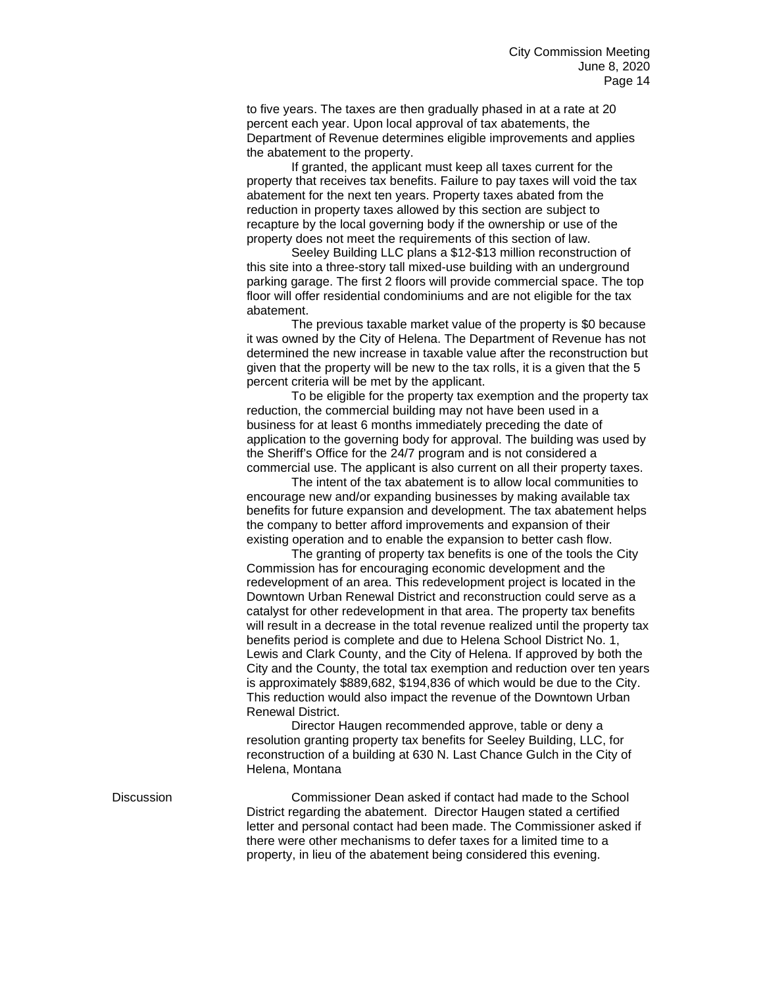to five years. The taxes are then gradually phased in at a rate at 20 percent each year. Upon local approval of tax abatements, the Department of Revenue determines eligible improvements and applies the abatement to the property.

If granted, the applicant must keep all taxes current for the property that receives tax benefits. Failure to pay taxes will void the tax abatement for the next ten years. Property taxes abated from the reduction in property taxes allowed by this section are subject to recapture by the local governing body if the ownership or use of the property does not meet the requirements of this section of law.

Seeley Building LLC plans a \$12-\$13 million reconstruction of this site into a three-story tall mixed-use building with an underground parking garage. The first 2 floors will provide commercial space. The top floor will offer residential condominiums and are not eligible for the tax abatement.

The previous taxable market value of the property is \$0 because it was owned by the City of Helena. The Department of Revenue has not determined the new increase in taxable value after the reconstruction but given that the property will be new to the tax rolls, it is a given that the 5 percent criteria will be met by the applicant.

To be eligible for the property tax exemption and the property tax reduction, the commercial building may not have been used in a business for at least 6 months immediately preceding the date of application to the governing body for approval. The building was used by the Sheriff's Office for the 24/7 program and is not considered a commercial use. The applicant is also current on all their property taxes.

The intent of the tax abatement is to allow local communities to encourage new and/or expanding businesses by making available tax benefits for future expansion and development. The tax abatement helps the company to better afford improvements and expansion of their existing operation and to enable the expansion to better cash flow.

The granting of property tax benefits is one of the tools the City Commission has for encouraging economic development and the redevelopment of an area. This redevelopment project is located in the Downtown Urban Renewal District and reconstruction could serve as a catalyst for other redevelopment in that area. The property tax benefits will result in a decrease in the total revenue realized until the property tax benefits period is complete and due to Helena School District No. 1, Lewis and Clark County, and the City of Helena. If approved by both the City and the County, the total tax exemption and reduction over ten years is approximately \$889,682, \$194,836 of which would be due to the City. This reduction would also impact the revenue of the Downtown Urban Renewal District.

Director Haugen recommended approve, table or deny a resolution granting property tax benefits for Seeley Building, LLC, for reconstruction of a building at 630 N. Last Chance Gulch in the City of Helena, Montana

Discussion Commissioner Dean asked if contact had made to the School District regarding the abatement. Director Haugen stated a certified letter and personal contact had been made. The Commissioner asked if there were other mechanisms to defer taxes for a limited time to a property, in lieu of the abatement being considered this evening.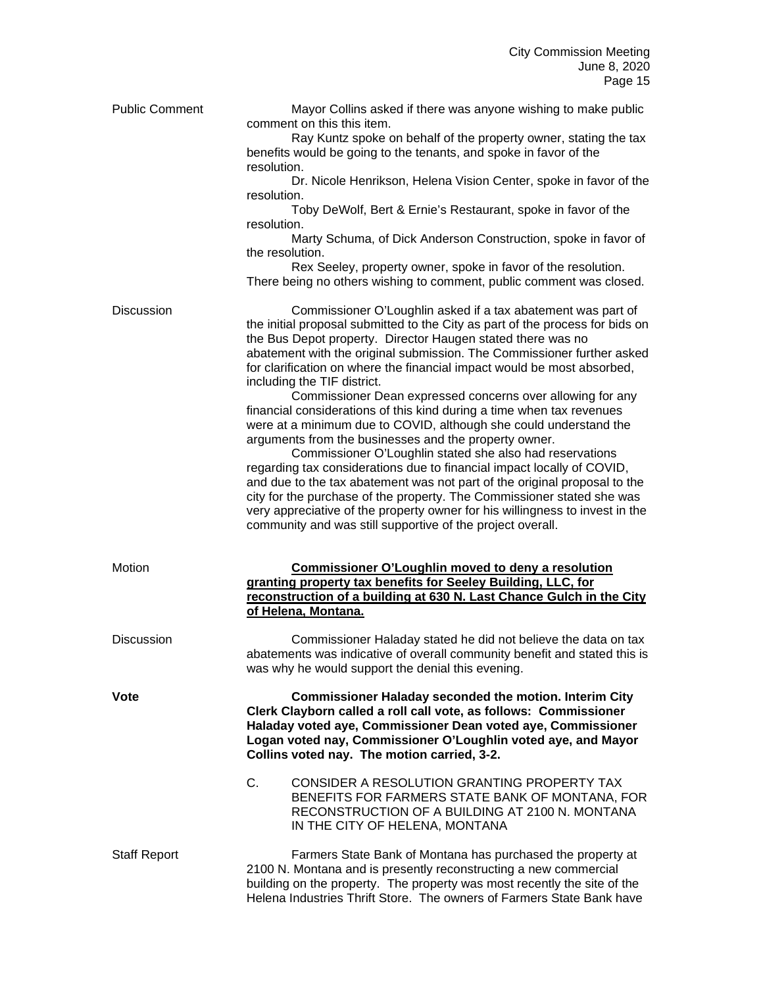| <b>Public Comment</b> | Mayor Collins asked if there was anyone wishing to make public<br>comment on this this item.<br>Ray Kuntz spoke on behalf of the property owner, stating the tax<br>benefits would be going to the tenants, and spoke in favor of the<br>resolution.<br>Dr. Nicole Henrikson, Helena Vision Center, spoke in favor of the<br>resolution.<br>Toby DeWolf, Bert & Ernie's Restaurant, spoke in favor of the<br>resolution.<br>Marty Schuma, of Dick Anderson Construction, spoke in favor of<br>the resolution.<br>Rex Seeley, property owner, spoke in favor of the resolution.                                                                                                                                                                                                                                                                                                                                                                                                                                                                                                                                   |
|-----------------------|------------------------------------------------------------------------------------------------------------------------------------------------------------------------------------------------------------------------------------------------------------------------------------------------------------------------------------------------------------------------------------------------------------------------------------------------------------------------------------------------------------------------------------------------------------------------------------------------------------------------------------------------------------------------------------------------------------------------------------------------------------------------------------------------------------------------------------------------------------------------------------------------------------------------------------------------------------------------------------------------------------------------------------------------------------------------------------------------------------------|
|                       | There being no others wishing to comment, public comment was closed.                                                                                                                                                                                                                                                                                                                                                                                                                                                                                                                                                                                                                                                                                                                                                                                                                                                                                                                                                                                                                                             |
| <b>Discussion</b>     | Commissioner O'Loughlin asked if a tax abatement was part of<br>the initial proposal submitted to the City as part of the process for bids on<br>the Bus Depot property. Director Haugen stated there was no<br>abatement with the original submission. The Commissioner further asked<br>for clarification on where the financial impact would be most absorbed,<br>including the TIF district.<br>Commissioner Dean expressed concerns over allowing for any<br>financial considerations of this kind during a time when tax revenues<br>were at a minimum due to COVID, although she could understand the<br>arguments from the businesses and the property owner.<br>Commissioner O'Loughlin stated she also had reservations<br>regarding tax considerations due to financial impact locally of COVID,<br>and due to the tax abatement was not part of the original proposal to the<br>city for the purchase of the property. The Commissioner stated she was<br>very appreciative of the property owner for his willingness to invest in the<br>community and was still supportive of the project overall. |
| Motion                | <b>Commissioner O'Loughlin moved to deny a resolution</b><br>granting property tax benefits for Seeley Building, LLC, for<br>reconstruction of a building at 630 N. Last Chance Gulch in the City<br>of Helena, Montana.                                                                                                                                                                                                                                                                                                                                                                                                                                                                                                                                                                                                                                                                                                                                                                                                                                                                                         |
| <b>Discussion</b>     | Commissioner Haladay stated he did not believe the data on tax<br>abatements was indicative of overall community benefit and stated this is<br>was why he would support the denial this evening.                                                                                                                                                                                                                                                                                                                                                                                                                                                                                                                                                                                                                                                                                                                                                                                                                                                                                                                 |
| Vote                  | <b>Commissioner Haladay seconded the motion. Interim City</b><br>Clerk Clayborn called a roll call vote, as follows: Commissioner<br>Haladay voted aye, Commissioner Dean voted aye, Commissioner<br>Logan voted nay, Commissioner O'Loughlin voted aye, and Mayor<br>Collins voted nay. The motion carried, 3-2.                                                                                                                                                                                                                                                                                                                                                                                                                                                                                                                                                                                                                                                                                                                                                                                                |
|                       | C.<br>CONSIDER A RESOLUTION GRANTING PROPERTY TAX<br>BENEFITS FOR FARMERS STATE BANK OF MONTANA, FOR<br>RECONSTRUCTION OF A BUILDING AT 2100 N. MONTANA<br>IN THE CITY OF HELENA, MONTANA                                                                                                                                                                                                                                                                                                                                                                                                                                                                                                                                                                                                                                                                                                                                                                                                                                                                                                                        |
| <b>Staff Report</b>   | Farmers State Bank of Montana has purchased the property at<br>2100 N. Montana and is presently reconstructing a new commercial<br>building on the property. The property was most recently the site of the<br>Helena Industries Thrift Store. The owners of Farmers State Bank have                                                                                                                                                                                                                                                                                                                                                                                                                                                                                                                                                                                                                                                                                                                                                                                                                             |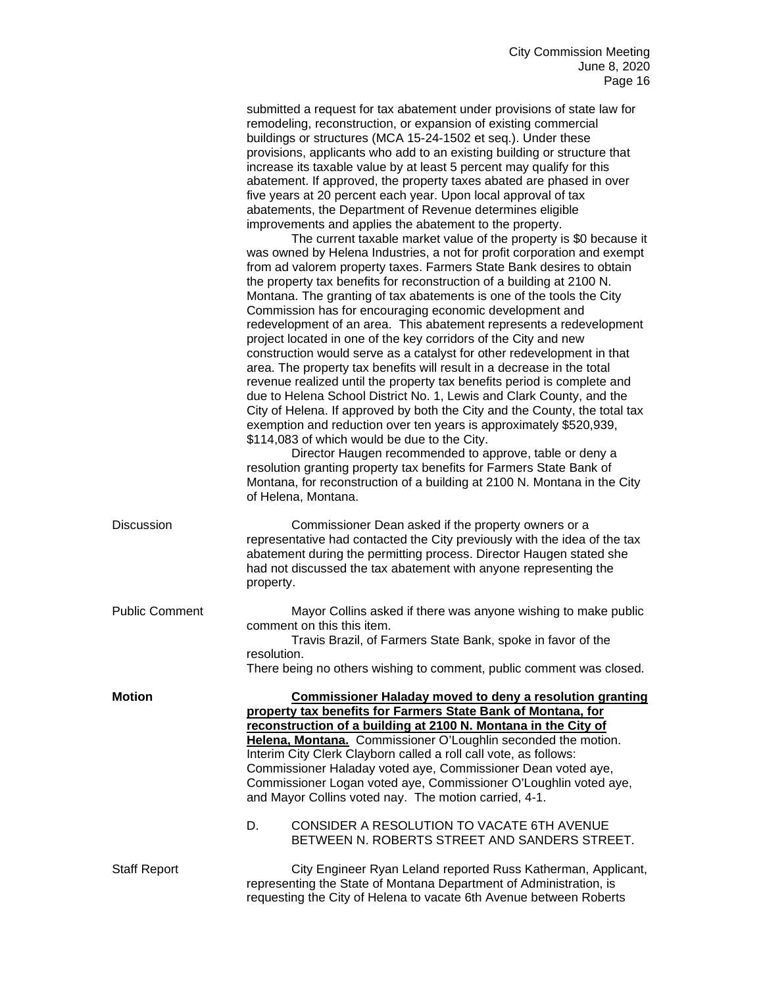|                       | submitted a request for tax abatement under provisions of state law for                                                                                                                                                                                                                                                                                                                                                                                                                                                                                                                                                                                                                                                                                                                                                                                                                                                                                                                                                                                                                                                                                                                                                                                                                                                                                                                                                                                                                                                                                                                                                                                                                                                                                                                                                                                         |
|-----------------------|-----------------------------------------------------------------------------------------------------------------------------------------------------------------------------------------------------------------------------------------------------------------------------------------------------------------------------------------------------------------------------------------------------------------------------------------------------------------------------------------------------------------------------------------------------------------------------------------------------------------------------------------------------------------------------------------------------------------------------------------------------------------------------------------------------------------------------------------------------------------------------------------------------------------------------------------------------------------------------------------------------------------------------------------------------------------------------------------------------------------------------------------------------------------------------------------------------------------------------------------------------------------------------------------------------------------------------------------------------------------------------------------------------------------------------------------------------------------------------------------------------------------------------------------------------------------------------------------------------------------------------------------------------------------------------------------------------------------------------------------------------------------------------------------------------------------------------------------------------------------|
|                       | remodeling, reconstruction, or expansion of existing commercial<br>buildings or structures (MCA 15-24-1502 et seq.). Under these<br>provisions, applicants who add to an existing building or structure that<br>increase its taxable value by at least 5 percent may qualify for this<br>abatement. If approved, the property taxes abated are phased in over<br>five years at 20 percent each year. Upon local approval of tax<br>abatements, the Department of Revenue determines eligible<br>improvements and applies the abatement to the property.<br>The current taxable market value of the property is \$0 because it<br>was owned by Helena Industries, a not for profit corporation and exempt<br>from ad valorem property taxes. Farmers State Bank desires to obtain<br>the property tax benefits for reconstruction of a building at 2100 N.<br>Montana. The granting of tax abatements is one of the tools the City<br>Commission has for encouraging economic development and<br>redevelopment of an area. This abatement represents a redevelopment<br>project located in one of the key corridors of the City and new<br>construction would serve as a catalyst for other redevelopment in that<br>area. The property tax benefits will result in a decrease in the total<br>revenue realized until the property tax benefits period is complete and<br>due to Helena School District No. 1, Lewis and Clark County, and the<br>City of Helena. If approved by both the City and the County, the total tax<br>exemption and reduction over ten years is approximately \$520,939,<br>\$114,083 of which would be due to the City.<br>Director Haugen recommended to approve, table or deny a<br>resolution granting property tax benefits for Farmers State Bank of<br>Montana, for reconstruction of a building at 2100 N. Montana in the City |
|                       | of Helena, Montana.                                                                                                                                                                                                                                                                                                                                                                                                                                                                                                                                                                                                                                                                                                                                                                                                                                                                                                                                                                                                                                                                                                                                                                                                                                                                                                                                                                                                                                                                                                                                                                                                                                                                                                                                                                                                                                             |
| Discussion            | Commissioner Dean asked if the property owners or a<br>representative had contacted the City previously with the idea of the tax<br>abatement during the permitting process. Director Haugen stated she<br>had not discussed the tax abatement with anyone representing the<br>property.                                                                                                                                                                                                                                                                                                                                                                                                                                                                                                                                                                                                                                                                                                                                                                                                                                                                                                                                                                                                                                                                                                                                                                                                                                                                                                                                                                                                                                                                                                                                                                        |
| <b>Public Comment</b> | Mayor Collins asked if there was anyone wishing to make public<br>comment on this this item.<br>Travis Brazil, of Farmers State Bank, spoke in favor of the                                                                                                                                                                                                                                                                                                                                                                                                                                                                                                                                                                                                                                                                                                                                                                                                                                                                                                                                                                                                                                                                                                                                                                                                                                                                                                                                                                                                                                                                                                                                                                                                                                                                                                     |
|                       | resolution<br>There being no others wishing to comment, public comment was closed.                                                                                                                                                                                                                                                                                                                                                                                                                                                                                                                                                                                                                                                                                                                                                                                                                                                                                                                                                                                                                                                                                                                                                                                                                                                                                                                                                                                                                                                                                                                                                                                                                                                                                                                                                                              |
| <b>Motion</b>         | <b>Commissioner Haladay moved to deny a resolution granting</b>                                                                                                                                                                                                                                                                                                                                                                                                                                                                                                                                                                                                                                                                                                                                                                                                                                                                                                                                                                                                                                                                                                                                                                                                                                                                                                                                                                                                                                                                                                                                                                                                                                                                                                                                                                                                 |
|                       | property tax benefits for Farmers State Bank of Montana, for<br>reconstruction of a building at 2100 N. Montana in the City of<br>Helena, Montana. Commissioner O'Loughlin seconded the motion.<br>Interim City Clerk Clayborn called a roll call vote, as follows:<br>Commissioner Haladay voted aye, Commissioner Dean voted aye,<br>Commissioner Logan voted aye, Commissioner O'Loughlin voted aye,<br>and Mayor Collins voted nay. The motion carried, 4-1.<br>CONSIDER A RESOLUTION TO VACATE 6TH AVENUE<br>D.<br>BETWEEN N. ROBERTS STREET AND SANDERS STREET.                                                                                                                                                                                                                                                                                                                                                                                                                                                                                                                                                                                                                                                                                                                                                                                                                                                                                                                                                                                                                                                                                                                                                                                                                                                                                           |
| <b>Staff Report</b>   | City Engineer Ryan Leland reported Russ Katherman, Applicant,<br>representing the State of Montana Department of Administration, is<br>requesting the City of Helena to vacate 6th Avenue between Roberts                                                                                                                                                                                                                                                                                                                                                                                                                                                                                                                                                                                                                                                                                                                                                                                                                                                                                                                                                                                                                                                                                                                                                                                                                                                                                                                                                                                                                                                                                                                                                                                                                                                       |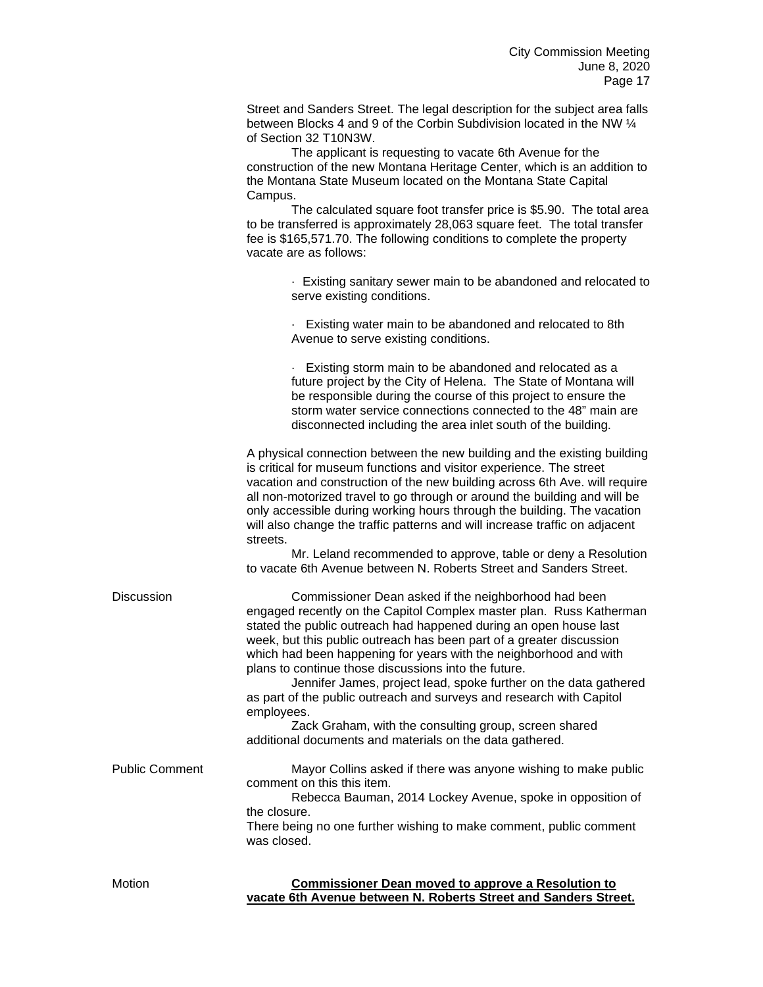Street and Sanders Street. The legal description for the subject area falls between Blocks 4 and 9 of the Corbin Subdivision located in the NW ¼ of Section 32 T10N3W.

The applicant is requesting to vacate 6th Avenue for the construction of the new Montana Heritage Center, which is an addition to the Montana State Museum located on the Montana State Capital Campus.

The calculated square foot transfer price is \$5.90. The total area to be transferred is approximately 28,063 square feet. The total transfer fee is \$165,571.70. The following conditions to complete the property vacate are as follows:

> · Existing sanitary sewer main to be abandoned and relocated to serve existing conditions.

· Existing water main to be abandoned and relocated to 8th Avenue to serve existing conditions.

· Existing storm main to be abandoned and relocated as a future project by the City of Helena. The State of Montana will be responsible during the course of this project to ensure the storm water service connections connected to the 48" main are disconnected including the area inlet south of the building.

A physical connection between the new building and the existing building is critical for museum functions and visitor experience. The street vacation and construction of the new building across 6th Ave. will require all non-motorized travel to go through or around the building and will be only accessible during working hours through the building. The vacation will also change the traffic patterns and will increase traffic on adjacent streets.

Mr. Leland recommended to approve, table or deny a Resolution to vacate 6th Avenue between N. Roberts Street and Sanders Street.

Discussion Commissioner Dean asked if the neighborhood had been engaged recently on the Capitol Complex master plan. Russ Katherman stated the public outreach had happened during an open house last week, but this public outreach has been part of a greater discussion which had been happening for years with the neighborhood and with plans to continue those discussions into the future.

> Jennifer James, project lead, spoke further on the data gathered as part of the public outreach and surveys and research with Capitol employees.

Zack Graham, with the consulting group, screen shared additional documents and materials on the data gathered.

Public Comment Mayor Collins asked if there was anyone wishing to make public comment on this this item. Rebecca Bauman, 2014 Lockey Avenue, spoke in opposition of the closure. There being no one further wishing to make comment, public comment was closed.

| Motion | Commissioner Dean moved to approve a Resolution to              |
|--------|-----------------------------------------------------------------|
|        | vacate 6th Avenue between N. Roberts Street and Sanders Street. |